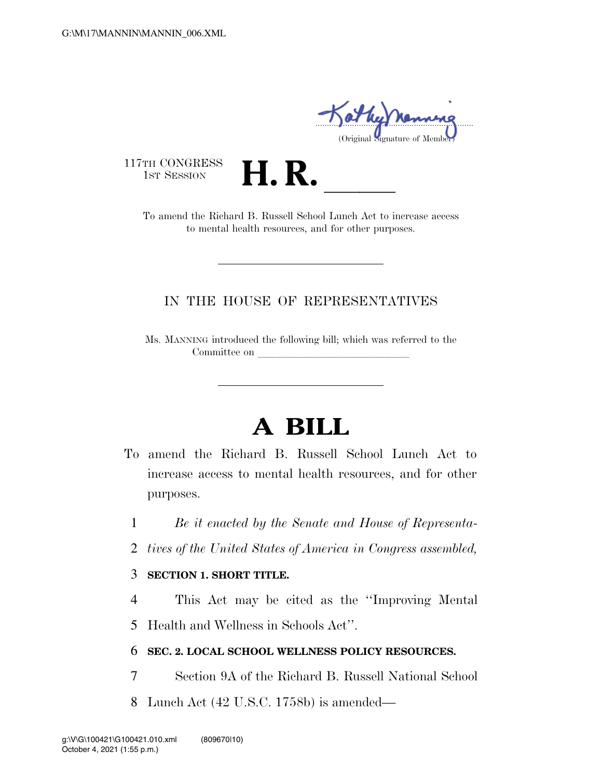..................................................................... (Original Signature of Membe

117TH CONGRESS<br>1st Session

TH CONGRESS<br>1st SESSION **H. R.** <u>Increase access</u><br>To amend the Richard B. Russell School Lunch Act to increase access to mental health resources, and for other purposes.

## IN THE HOUSE OF REPRESENTATIVES

Ms. MANNING introduced the following bill; which was referred to the Committee on

## **A BILL**

- To amend the Richard B. Russell School Lunch Act to increase access to mental health resources, and for other purposes.
	- 1 *Be it enacted by the Senate and House of Representa-*
	- 2 *tives of the United States of America in Congress assembled,*

## 3 **SECTION 1. SHORT TITLE.**

4 This Act may be cited as the ''Improving Mental 5 Health and Wellness in Schools Act''.

## 6 **SEC. 2. LOCAL SCHOOL WELLNESS POLICY RESOURCES.**

- 7 Section 9A of the Richard B. Russell National School
- 8 Lunch Act (42 U.S.C. 1758b) is amended—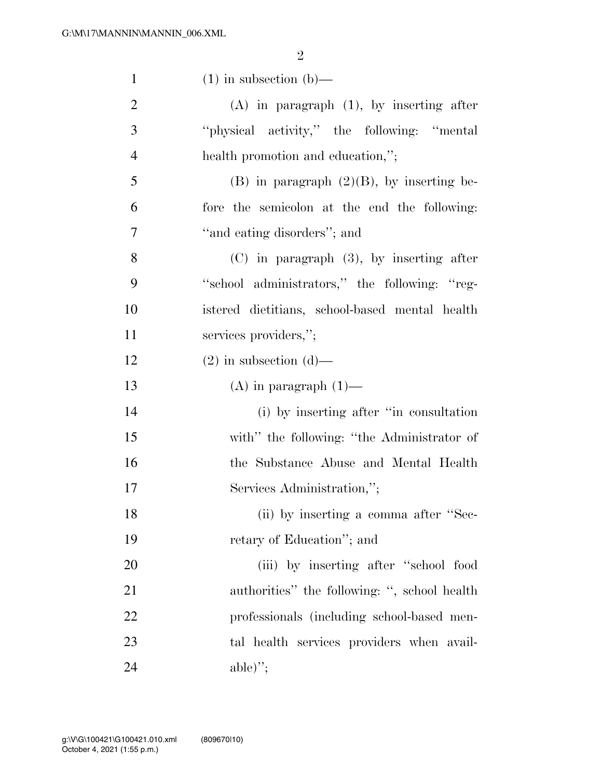2

| $\mathbf{1}$   | $(1)$ in subsection $(b)$ —                    |
|----------------|------------------------------------------------|
| $\overline{2}$ | $(A)$ in paragraph $(1)$ , by inserting after  |
| 3              | "physical activity," the following: "mental"   |
| $\overline{4}$ | health promotion and education,";              |
| 5              | $(B)$ in paragraph $(2)(B)$ , by inserting be- |
| 6              | fore the semicolon at the end the following:   |
| 7              | "and eating disorders"; and                    |
| 8              | $(C)$ in paragraph $(3)$ , by inserting after  |
| 9              | "school administrators," the following: "reg-  |
| 10             | istered dietitians, school-based mental health |
| 11             | services providers,";                          |
| 12             | $(2)$ in subsection $(d)$ —                    |
| 13             | $(A)$ in paragraph $(1)$ —                     |
| 14             | (i) by inserting after "in consultation"       |
| 15             | with" the following: "the Administrator of     |
| 16             | the Substance Abuse and Mental Health          |
| 17             | Services Administration,";                     |
| 18             | (ii) by inserting a comma after "Sec-          |
| 19             | retary of Education"; and                      |
| 20             | (iii) by inserting after "school food          |
| 21             | authorities" the following: ", school health   |
| 22             | professionals (including school-based men-     |
| 23             | tal health services providers when avail-      |
| 24             | $able$ ,";                                     |